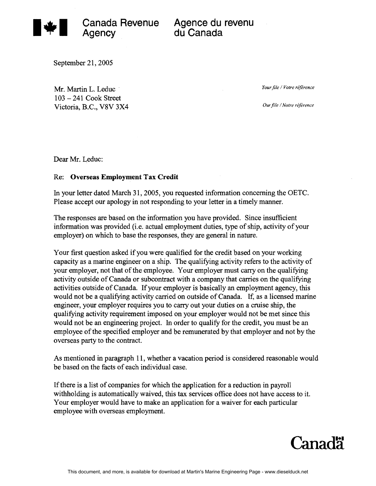

Agency du Canada

September 21, 2005

Mr. Martin L. Leduc <sup>103</sup>- 241 Cook Street Victoria, B.C., V8V 3x4 *Your file* / *Votre référence* 

*Our file / Notre référence* 

Dear Mr. Leduc:

## Re: **Overseas Employment Tax Credit**

In your letter dated March 31, 2005, you requested information concerning the OETC. Please accept our apology in not responding to your letter in a timely manner.

The responses are based on the information you have provided. Since insufficient information was provided (i.e. actual employment duties, type of ship, activity of your employer) on which to base the responses, they are general in nature.

Your first question asked if you were qualified for the credit based on your working capacity as a marine engineer on a ship. The qualifying activity refers to the activity of your employer, not that of the employee. Your employer must carry on the qualifying activity outside of Canada or subcontract with a company that carries on the qualifying activities outside of Canada. If your employer is basically an employment agency, this would not be a qualifying activity carried on outside of Canada. If, as a licensed marine engineer, your employer requires you to carry out your duties on a cruise ship, the qualifying activity requirement imposed on your employer would not be met since this would not be an engineering project. In order to qualify for the credit, you must be an employee of the specified employer and be remunerated by that employer and not by the overseas party to the contract.

As mentioned in paragraph 11, whether a vacation period is considered reasonable would be based on the facts of each individual case.

If there is a list of companies for which the application for a reduction in payroll withholding is automatically waived, this tax services office does not have access to it. Your employer would have to make an application for a waiver for each particular employee with overseas employment.